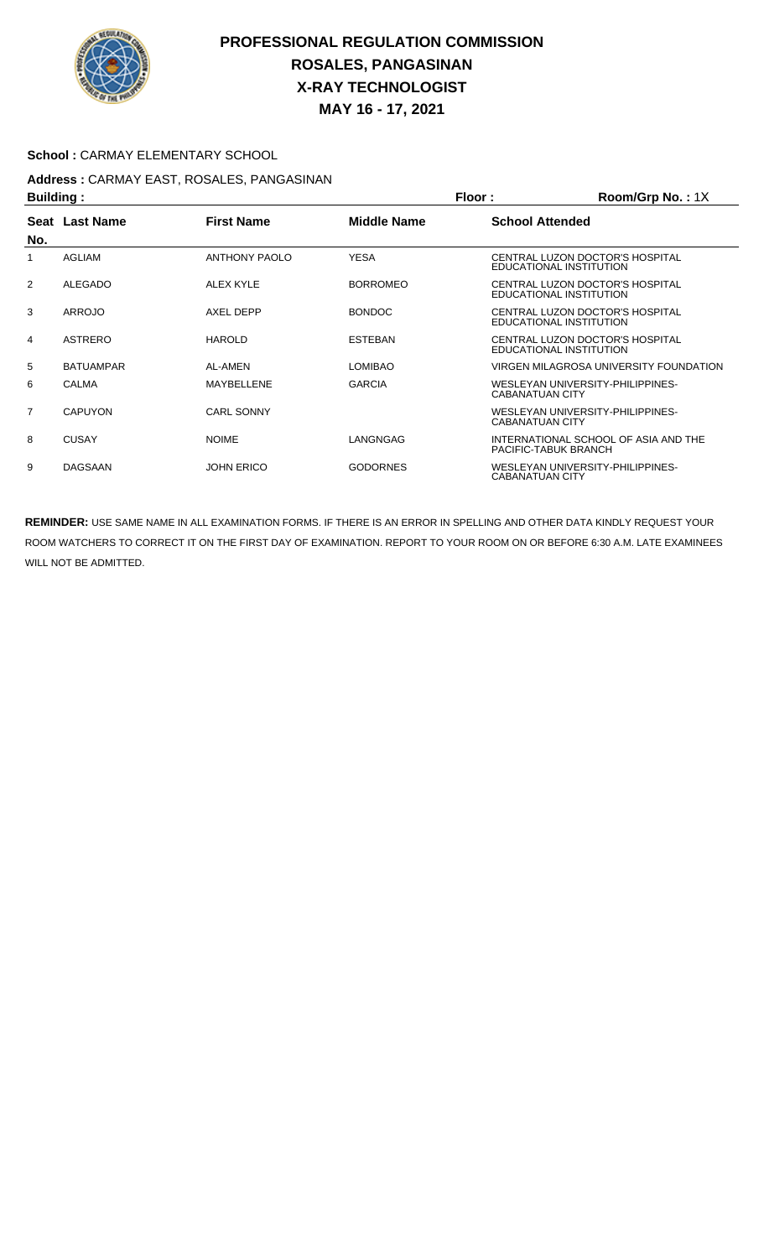

# **PROFESSIONAL REGULATION COMMISSION ROSALES, PANGASINAN X-RAY TECHNOLOGIST MAY 16 - 17, 2021**

## School : CARMAY ELEMENTARY SCHOOL

#### **Address :** CARMAY EAST, ROSALES, PANGASINAN **Building : Floor : Room/Grp No. :** 1X

| <b>Dullully.</b> |                  |                      |                 | FIUUL.                 |                                                              |
|------------------|------------------|----------------------|-----------------|------------------------|--------------------------------------------------------------|
|                  | Seat Last Name   | <b>First Name</b>    | Middle Name     | <b>School Attended</b> |                                                              |
| No.              |                  |                      |                 |                        |                                                              |
| 1                | <b>AGLIAM</b>    | <b>ANTHONY PAOLO</b> | <b>YESA</b>     |                        | CENTRAL LUZON DOCTOR'S HOSPITAL<br>EDUCATIONAL INSTITUTION   |
| $\overline{2}$   | <b>ALEGADO</b>   | ALEX KYLE            | <b>BORROMEO</b> |                        | CENTRAL LUZON DOCTOR'S HOSPITAL<br>EDUCATIONAL INSTITUTION   |
| 3                | ARROJO           | AXEL DEPP            | <b>BONDOC</b>   |                        | CENTRAL LUZON DOCTOR'S HOSPITAL<br>EDUCATIONAL INSTITUTION   |
| 4                | <b>ASTRERO</b>   | <b>HAROLD</b>        | <b>ESTEBAN</b>  |                        | CENTRAL LUZON DOCTOR'S HOSPITAL<br>EDUCATIONAL INSTITUTION   |
| 5                | <b>BATUAMPAR</b> | AL-AMEN              | <b>LOMIBAO</b>  |                        | VIRGEN MILAGROSA UNIVERSITY FOUNDATION                       |
| 6                | <b>CALMA</b>     | MAYBELLENE           | <b>GARCIA</b>   | CABANATUAN CITY        | WESLEYAN UNIVERSITY-PHILIPPINES-                             |
| $\overline{7}$   | <b>CAPUYON</b>   | <b>CARL SONNY</b>    |                 | CABANATUAN CITY        | WESLEYAN UNIVERSITY-PHILIPPINES-                             |
| 8                | <b>CUSAY</b>     | <b>NOIME</b>         | LANGNGAG        |                        | INTERNATIONAL SCHOOL OF ASIA AND THE<br>PACIFIC-TABUK BRANCH |
| 9                | <b>DAGSAAN</b>   | <b>JOHN ERICO</b>    | <b>GODORNES</b> | CABANATUAN CITY        | WESLEYAN UNIVERSITY-PHILIPPINES-                             |

**REMINDER:** USE SAME NAME IN ALL EXAMINATION FORMS. IF THERE IS AN ERROR IN SPELLING AND OTHER DATA KINDLY REQUEST YOUR ROOM WATCHERS TO CORRECT IT ON THE FIRST DAY OF EXAMINATION. REPORT TO YOUR ROOM ON OR BEFORE 6:30 A.M. LATE EXAMINEES WILL NOT BE ADMITTED.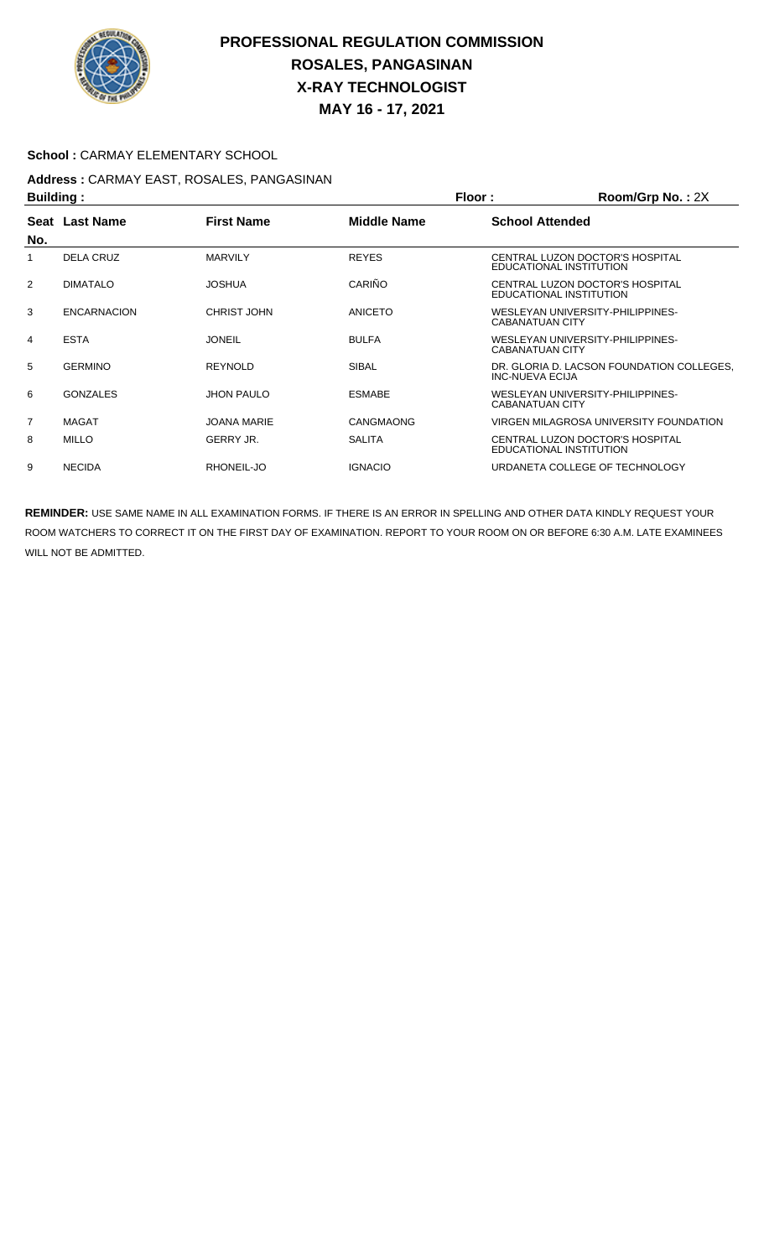

# **PROFESSIONAL REGULATION COMMISSION ROSALES, PANGASINAN X-RAY TECHNOLOGIST MAY 16 - 17, 2021**

### School : CARMAY ELEMENTARY SCHOOL

## **Address :** CARMAY EAST, ROSALES, PANGASINAN **Building : Building : Room/Grp No. : 2X**

| <b>Dununiy.</b> |                    |                    |                    | .<br>$\mathbf{N}$                                            |
|-----------------|--------------------|--------------------|--------------------|--------------------------------------------------------------|
| No.             | Seat Last Name     | <b>First Name</b>  | <b>Middle Name</b> | <b>School Attended</b>                                       |
|                 | <b>DELA CRUZ</b>   | <b>MARVILY</b>     | <b>REYES</b>       | CENTRAL LUZON DOCTOR'S HOSPITAL<br>EDUCATIONAL INSTITUTION   |
| 2               | <b>DIMATALO</b>    | <b>JOSHUA</b>      | CARIÑO             | CENTRAL LUZON DOCTOR'S HOSPITAL<br>EDUCATIONAL INSTITUTION   |
| 3               | <b>ENCARNACION</b> | CHRIST JOHN        | ANICETO            | WESLEYAN UNIVERSITY-PHILIPPINES-<br>CABANATUAN CITY          |
| 4               | <b>ESTA</b>        | <b>JONEIL</b>      | <b>BULFA</b>       | WESLEYAN UNIVERSITY-PHILIPPINES-<br><b>CABANATUAN CITY</b>   |
| 5               | <b>GERMINO</b>     | <b>REYNOLD</b>     | <b>SIBAL</b>       | DR. GLORIA D. LACSON FOUNDATION COLLEGES.<br>INC-NUEVA ECIJA |
| 6               | <b>GONZALES</b>    | <b>JHON PAULO</b>  | <b>ESMABE</b>      | WESLEYAN UNIVERSITY-PHILIPPINES-<br>CABANATUAN CITY          |
| $\overline{7}$  | <b>MAGAT</b>       | <b>JOANA MARIE</b> | CANGMAONG          | VIRGEN MILAGROSA UNIVERSITY FOUNDATION                       |
| 8               | <b>MILLO</b>       | GERRY JR.          | <b>SALITA</b>      | CENTRAL LUZON DOCTOR'S HOSPITAL<br>EDUCATIONAL INSTITUTION   |
| 9               | <b>NECIDA</b>      | RHONEIL-JO         | <b>IGNACIO</b>     | URDANETA COLLEGE OF TECHNOLOGY                               |

**REMINDER:** USE SAME NAME IN ALL EXAMINATION FORMS. IF THERE IS AN ERROR IN SPELLING AND OTHER DATA KINDLY REQUEST YOUR ROOM WATCHERS TO CORRECT IT ON THE FIRST DAY OF EXAMINATION. REPORT TO YOUR ROOM ON OR BEFORE 6:30 A.M. LATE EXAMINEES WILL NOT BE ADMITTED.